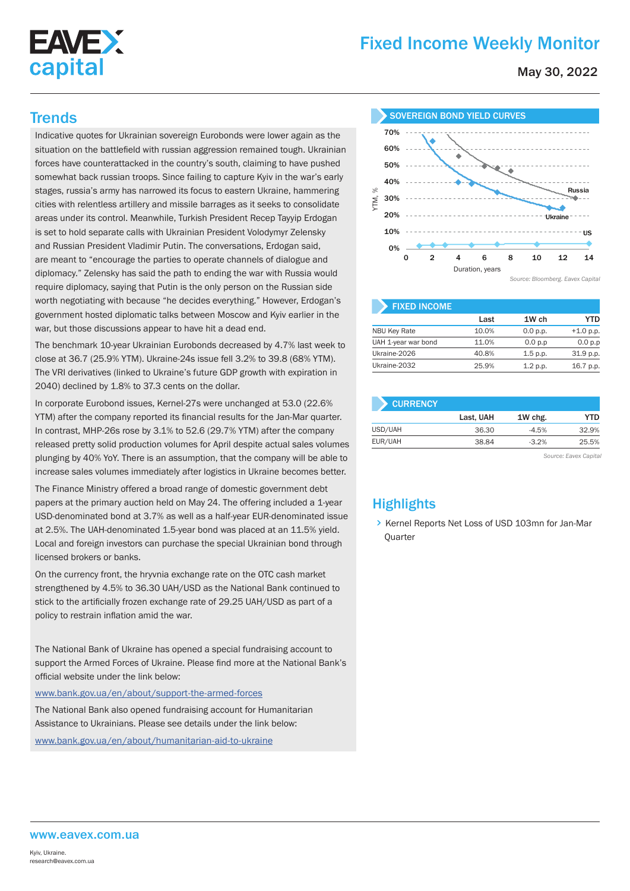

# Fixed Income Weekly Monitor

May 30, 2022

Indicative quotes for Ukrainian sovereign Eurobonds were lower again as the situation on the battlefield with russian aggression remained tough. Ukrainian forces have counterattacked in the country's south, claiming to have pushed somewhat back russian troops. Since failing to capture Kyiv in the war's early stages, russia's army has narrowed its focus to eastern Ukraine, hammering cities with relentless artillery and missile barrages as it seeks to consolidate areas under its control. Meanwhile, Turkish President Recep Tayyip Erdogan is set to hold separate calls with Ukrainian President Volodymyr Zelensky and Russian President Vladimir Putin. The conversations, Erdogan said, are meant to "encourage the parties to operate channels of dialogue and diplomacy." Zelensky has said the path to ending the war with Russia would require diplomacy, saying that Putin is the only person on the Russian side worth negotiating with because "he decides everything." However, Erdogan's government hosted diplomatic talks between Moscow and Kyiv earlier in the war, but those discussions appear to have hit a dead end.

The benchmark 10-year Ukrainian Eurobonds decreased by 4.7% last week to close at 36.7 (25.9% YTM). Ukraine-24s issue fell 3.2% to 39.8 (68% YTM). The VRI derivatives (linked to Ukraine's future GDP growth with expiration in 2040) declined by 1.8% to 37.3 cents on the dollar.

In corporate Eurobond issues, Kernel-27s were unchanged at 53.0 (22.6% YTM) after the company reported its financial results for the Jan-Mar quarter. In contrast, MHP-26s rose by 3.1% to 52.6 (29.7% YTM) after the company released pretty solid production volumes for April despite actual sales volumes plunging by 40% YoY. There is an assumption, that the company will be able to increase sales volumes immediately after logistics in Ukraine becomes better.

The Finance Ministry offered a broad range of domestic government debt papers at the primary auction held on May 24. The offering included a 1-year USD-denominated bond at 3.7% as well as a half-year EUR-denominated issue at 2.5%. The UAH-denominated 1.5-year bond was placed at an 11.5% yield. Local and foreign investors can purchase the special Ukrainian bond through licensed brokers or banks.

On the currency front, the hryvnia exchange rate on the OTC cash market strengthened by 4.5% to 36.30 UAH/USD as the National Bank continued to stick to the artificially frozen exchange rate of 29.25 UAH/USD as part of a policy to restrain inflation amid the war.

The National Bank of Ukraine has opened a special fundraising account to support the Armed Forces of Ukraine. Please find more at the National Bank's official website under the link below:

www.bank.gov.ua/en/about/support-the-armed-forces

The National Bank also opened fundraising account for Humanitarian Assistance to Ukrainians. Please see details under the link below:

www.bank.gov.ua/en/about/humanitarian-aid-to-ukraine



| <b>FIXED INCOME</b> |       |          |             |
|---------------------|-------|----------|-------------|
|                     | Last  | 1W ch    | YTD         |
| <b>NBU Key Rate</b> | 10.0% | 0.0 p.p. | $+1.0 p.p.$ |
| UAH 1-year war bond | 11.0% | 0.0 p.p  | 0.0 p.p     |
| Ukraine-2026        | 40.8% | 1.5 p.p. | 31.9 p.p.   |
| Ukraine-2032        | 25.9% | 1.2 p.p. | 16.7 p.p.   |

| <b>CURRENCY</b> |           |         |       |
|-----------------|-----------|---------|-------|
|                 | Last, UAH | 1W chg. | YTD   |
| USD/UAH         | 36.30     | $-4.5%$ | 32.9% |
| EUR/UAH         | 38.84     | $-3.2%$ | 25.5% |
|                 |           |         |       |

*Source: Eavex Capital*

# **Highlights**

> Kernel Reports Net Loss of USD 103mn for Jan-Mar **Ouarter**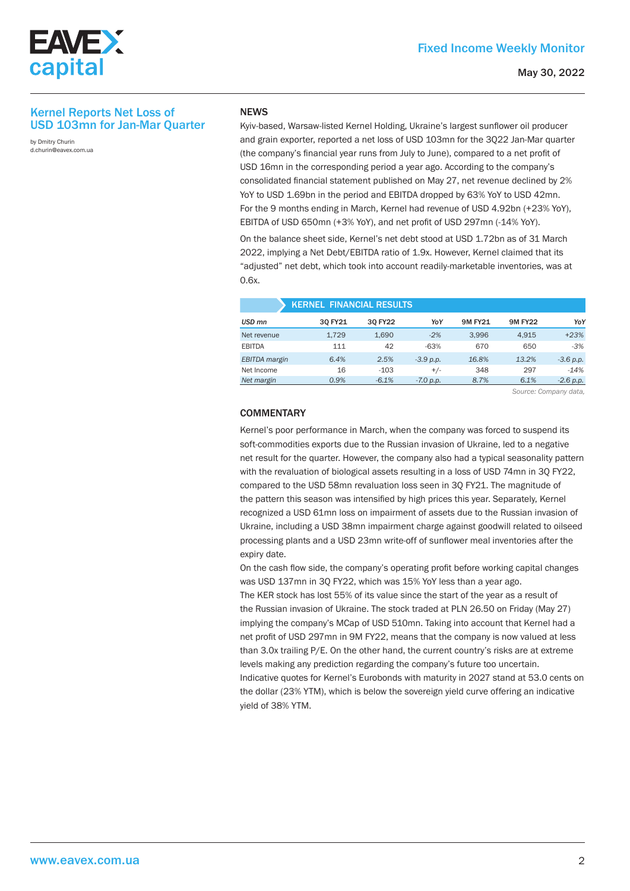

### Kernel Reports Net Loss of USD 103mn for Jan-Mar Quarter

by Dmitry Churin d.churin@eavex.com.ua

#### **NEWS**

Kyiv-based, Warsaw-listed Kernel Holding, Ukraine's largest sunflower oil producer and grain exporter, reported a net loss of USD 103mn for the 3Q22 Jan-Mar quarter (the company's financial year runs from July to June), compared to a net profit of USD 16mn in the corresponding period a year ago. According to the company's consolidated financial statement published on May 27, net revenue declined by 2% YoY to USD 1.69bn in the period and EBITDA dropped by 63% YoY to USD 42mn. For the 9 months ending in March, Kernel had revenue of USD 4.92bn (+23% YoY), EBITDA of USD 650mn (+3% YoY), and net profit of USD 297mn (-14% YoY).

On the balance sheet side, Kernel's net debt stood at USD 1.72bn as of 31 March 2022, implying a Net Debt/EBITDA ratio of 1.9x. However, Kernel claimed that its "adjusted" net debt, which took into account readily-marketable inventories, was at 0.6x.

| <b>KERNEL FINANCIAL RESULTS</b> |         |         |             |                |                |             |
|---------------------------------|---------|---------|-------------|----------------|----------------|-------------|
| USD <sub>mn</sub>               | 30 FY21 | 30 FY22 | YoY         | <b>9M FY21</b> | <b>9M FY22</b> | YoY         |
| Net revenue                     | 1.729   | 1.690   | $-2%$       | 3.996          | 4.915          | $+23%$      |
| <b>EBITDA</b>                   | 111     | 42      | $-63%$      | 670            | 650            | $-3%$       |
| EBITDA margin                   | 6.4%    | 2.5%    | $-3.9 p.p.$ | 16.8%          | 13.2%          | $-3.6 p.p.$ |
| Net Income                      | 16      | $-103$  | $+/-$       | 348            | 297            | $-14%$      |
| Net margin                      | 0.9%    | $-6.1%$ | $-7.0 p.p.$ | 8.7%           | 6.1%           | $-2.6 p.p.$ |

*Source: Company data,*

#### **COMMENTARY**

Kernel's poor performance in March, when the company was forced to suspend its soft-commodities exports due to the Russian invasion of Ukraine, led to a negative net result for the quarter. However, the company also had a typical seasonality pattern with the revaluation of biological assets resulting in a loss of USD 74mn in 3Q FY22, compared to the USD 58mn revaluation loss seen in 3Q FY21. The magnitude of the pattern this season was intensified by high prices this year. Separately, Kernel recognized a USD 61mn loss on impairment of assets due to the Russian invasion of Ukraine, including a USD 38mn impairment charge against goodwill related to oilseed processing plants and a USD 23mn write-off of sunflower meal inventories after the expiry date.

On the cash flow side, the company's operating profit before working capital changes was USD 137mn in 3Q FY22, which was 15% YoY less than a year ago.

The KER stock has lost 55% of its value since the start of the year as a result of the Russian invasion of Ukraine. The stock traded at PLN 26.50 on Friday (May 27) implying the company's MCap of USD 510mn. Taking into account that Kernel had a net profit of USD 297mn in 9M FY22, means that the company is now valued at less than 3.0x trailing P/E. On the other hand, the current country's risks are at extreme levels making any prediction regarding the company's future too uncertain. Indicative quotes for Kernel's Eurobonds with maturity in 2027 stand at 53.0 cents on the dollar (23% YTM), which is below the sovereign yield curve offering an indicative yield of 38% YTM.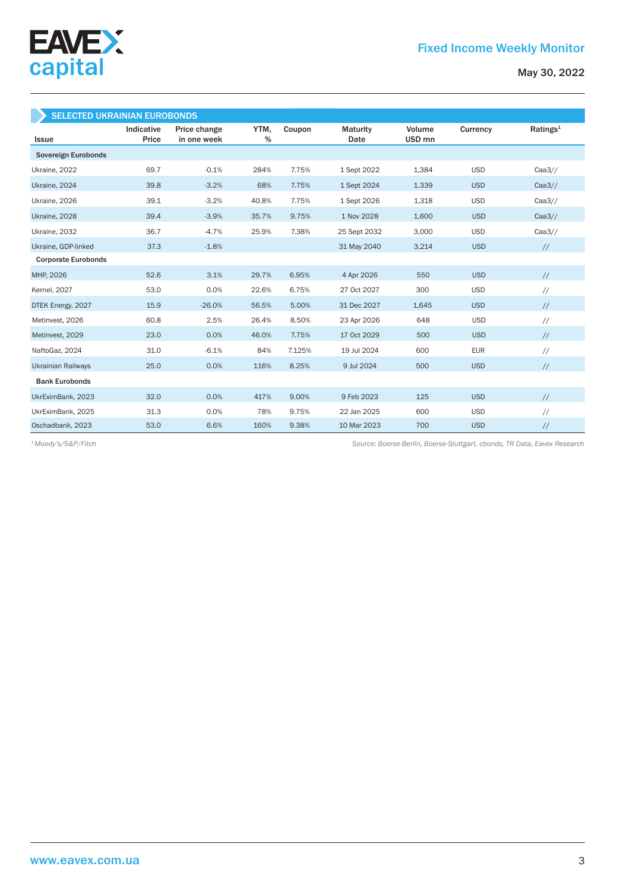

| <b>SELECTED UKRAINIAN EUROBONDS</b> |                     |                             |           |        |                         |                             |            |                      |
|-------------------------------------|---------------------|-----------------------------|-----------|--------|-------------------------|-----------------------------|------------|----------------------|
| <b>Issue</b>                        | Indicative<br>Price | Price change<br>in one week | YTM.<br>% | Coupon | <b>Maturity</b><br>Date | Volume<br>USD <sub>mn</sub> | Currency   | Ratings <sup>1</sup> |
| Sovereign Eurobonds                 |                     |                             |           |        |                         |                             |            |                      |
| Ukraine, 2022                       | 69.7                | $-0.1%$                     | 284%      | 7.75%  | 1 Sept 2022             | 1,384                       | <b>USD</b> | Caa3/                |
| Ukraine, 2024                       | 39.8                | $-3.2%$                     | 68%       | 7.75%  | 1 Sept 2024             | 1.339                       | <b>USD</b> | Caa3/                |
| Ukraine, 2026                       | 39.1                | $-3.2%$                     | 40.8%     | 7.75%  | 1 Sept 2026             | 1,318                       | <b>USD</b> | Caa3/                |
| Ukraine, 2028                       | 39.4                | $-3.9%$                     | 35.7%     | 9.75%  | 1 Nov 2028              | 1,600                       | <b>USD</b> | Caa3/                |
| Ukraine, 2032                       | 36.7                | $-4.7%$                     | 25.9%     | 7.38%  | 25 Sept 2032            | 3,000                       | <b>USD</b> | Caa3//               |
| Ukraine, GDP-linked                 | 37.3                | $-1.8%$                     |           |        | 31 May 2040             | 3,214                       | <b>USD</b> | $\frac{1}{2}$        |
| <b>Corporate Eurobonds</b>          |                     |                             |           |        |                         |                             |            |                      |
| MHP, 2026                           | 52.6                | 3.1%                        | 29.7%     | 6.95%  | 4 Apr 2026              | 550                         | <b>USD</b> | $\frac{1}{2}$        |
| <b>Kernel</b> , 2027                | 53.0                | 0.0%                        | 22.6%     | 6.75%  | 27 Oct 2027             | 300                         | <b>USD</b> | $^{\prime\prime}$    |
| DTEK Energy, 2027                   | 15.9                | $-26.0%$                    | 56.5%     | 5.00%  | 31 Dec 2027             | 1.645                       | <b>USD</b> | $\frac{1}{2}$        |
| Metinvest, 2026                     | 60.8                | 2.5%                        | 26.4%     | 8.50%  | 23 Apr 2026             | 648                         | <b>USD</b> | $\frac{1}{2}$        |
| Metinvest, 2029                     | 23.0                | 0.0%                        | 46.0%     | 7.75%  | 17 Oct 2029             | 500                         | <b>USD</b> | $\frac{1}{2}$        |
| NaftoGaz, 2024                      | 31.0                | $-6.1%$                     | 84%       | 7.125% | 19 Jul 2024             | 600                         | <b>EUR</b> | $\frac{1}{2}$        |
| <b>Ukrainian Railways</b>           | 25.0                | 0.0%                        | 116%      | 8.25%  | 9 Jul 2024              | 500                         | <b>USD</b> | $\frac{1}{2}$        |
| <b>Bank Eurobonds</b>               |                     |                             |           |        |                         |                             |            |                      |
| UkrEximBank, 2023                   | 32.0                | 0.0%                        | 417%      | 9.00%  | 9 Feb 2023              | 125                         | <b>USD</b> | $\frac{1}{2}$        |
| UkrEximBank, 2025                   | 31.3                | 0.0%                        | 78%       | 9.75%  | 22 Jan 2025             | 600                         | <b>USD</b> | $\frac{1}{2}$        |
| Oschadbank, 2023                    | 53.0                | 6.6%                        | 160%      | 9.38%  | 10 Mar 2023             | 700                         | <b>USD</b> | $\sqrt{}$            |

*Source: Boerse-Berlin, Boerse-Stuttgart. cbonds, TR Data, Eavex Research 1 Moody's/S&P/Fitch*